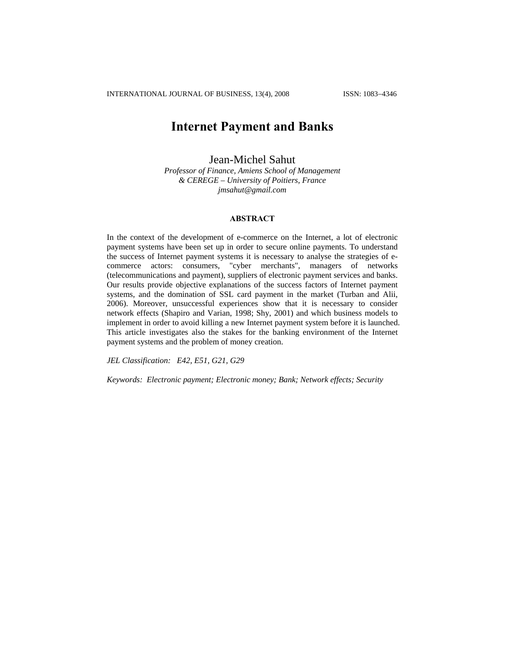# **Internet Payment and Banks**

Jean-Michel Sahut

*Professor of Finance, Amiens School of Management & CEREGE – University of Poitiers, France jmsahut@gmail.com* 

## **ABSTRACT**

In the context of the development of e-commerce on the Internet, a lot of electronic payment systems have been set up in order to secure online payments. To understand the success of Internet payment systems it is necessary to analyse the strategies of ecommerce actors: consumers, "cyber merchants", managers of networks (telecommunications and payment), suppliers of electronic payment services and banks. Our results provide objective explanations of the success factors of Internet payment systems, and the domination of SSL card payment in the market (Turban and Alii, 2006). Moreover, unsuccessful experiences show that it is necessary to consider network effects (Shapiro and Varian, 1998; Shy, 2001) and which business models to implement in order to avoid killing a new Internet payment system before it is launched. This article investigates also the stakes for the banking environment of the Internet payment systems and the problem of money creation.

*JEL Classification: E42, E51, G21, G29* 

*Keywords: Electronic payment; Electronic money; Bank; Network effects; Security*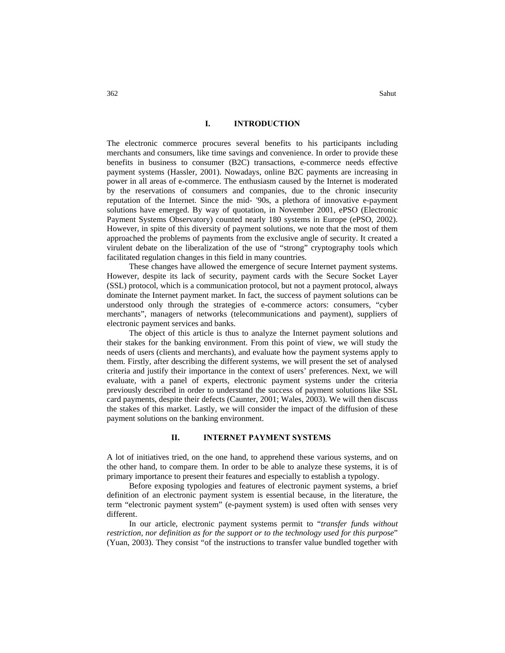## **I. INTRODUCTION**

The electronic commerce procures several benefits to his participants including merchants and consumers, like time savings and convenience. In order to provide these benefits in business to consumer (B2C) transactions, e-commerce needs effective payment systems (Hassler, 2001). Nowadays, online B2C payments are increasing in power in all areas of e-commerce. The enthusiasm caused by the Internet is moderated by the reservations of consumers and companies, due to the chronic insecurity reputation of the Internet. Since the mid- '90s, a plethora of innovative e-payment solutions have emerged. By way of quotation, in November 2001, ePSO (Electronic Payment Systems Observatory) counted nearly 180 systems in Europe (ePSO, 2002). However, in spite of this diversity of payment solutions, we note that the most of them approached the problems of payments from the exclusive angle of security. It created a virulent debate on the liberalization of the use of "strong" cryptography tools which facilitated regulation changes in this field in many countries.

These changes have allowed the emergence of secure Internet payment systems. However, despite its lack of security, payment cards with the Secure Socket Layer (SSL) protocol, which is a communication protocol, but not a payment protocol, always dominate the Internet payment market. In fact, the success of payment solutions can be understood only through the strategies of e-commerce actors: consumers, "cyber merchants", managers of networks (telecommunications and payment), suppliers of electronic payment services and banks.

The object of this article is thus to analyze the Internet payment solutions and their stakes for the banking environment. From this point of view, we will study the needs of users (clients and merchants), and evaluate how the payment systems apply to them. Firstly, after describing the different systems, we will present the set of analysed criteria and justify their importance in the context of users' preferences. Next, we will evaluate, with a panel of experts, electronic payment systems under the criteria previously described in order to understand the success of payment solutions like SSL card payments, despite their defects (Caunter, 2001; Wales, 2003). We will then discuss the stakes of this market. Lastly, we will consider the impact of the diffusion of these payment solutions on the banking environment.

#### **II. INTERNET PAYMENT SYSTEMS**

A lot of initiatives tried, on the one hand, to apprehend these various systems, and on the other hand, to compare them. In order to be able to analyze these systems, it is of primary importance to present their features and especially to establish a typology.

Before exposing typologies and features of electronic payment systems, a brief definition of an electronic payment system is essential because, in the literature, the term "electronic payment system" (e-payment system) is used often with senses very different.

In our article, electronic payment systems permit to "*transfer funds without restriction, nor definition as for the support or to the technology used for this purpose*" (Yuan, 2003). They consist "of the instructions to transfer value bundled together with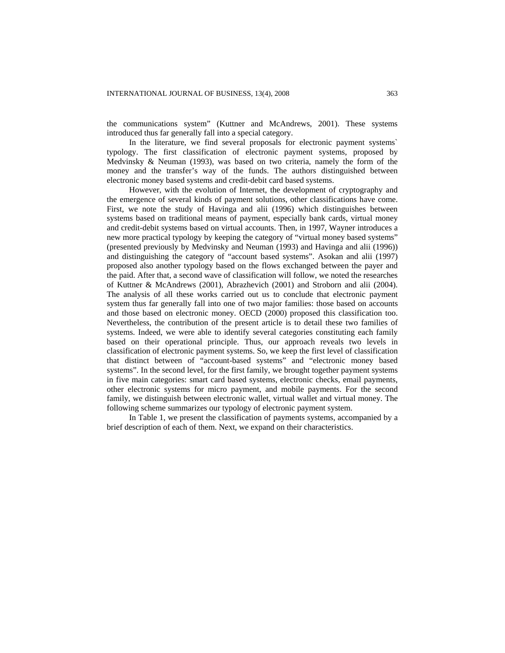the communications system" (Kuttner and McAndrews, 2001). These systems introduced thus far generally fall into a special category.

In the literature, we find several proposals for electronic payment systems` typology. The first classification of electronic payment systems, proposed by Medvinsky & Neuman (1993), was based on two criteria, namely the form of the money and the transfer's way of the funds. The authors distinguished between electronic money based systems and credit-debit card based systems.

However, with the evolution of Internet, the development of cryptography and the emergence of several kinds of payment solutions, other classifications have come. First, we note the study of Havinga and alii (1996) which distinguishes between systems based on traditional means of payment, especially bank cards, virtual money and credit-debit systems based on virtual accounts. Then, in 1997, Wayner introduces a new more practical typology by keeping the category of "virtual money based systems" (presented previously by Medvinsky and Neuman (1993) and Havinga and alii (1996)) and distinguishing the category of "account based systems". Asokan and alii (1997) proposed also another typology based on the flows exchanged between the payer and the paid. After that, a second wave of classification will follow, we noted the researches of Kuttner & McAndrews (2001), Abrazhevich (2001) and Stroborn and alii (2004). The analysis of all these works carried out us to conclude that electronic payment system thus far generally fall into one of two major families: those based on accounts and those based on electronic money. OECD (2000) proposed this classification too. Nevertheless, the contribution of the present article is to detail these two families of systems. Indeed, we were able to identify several categories constituting each family based on their operational principle. Thus, our approach reveals two levels in classification of electronic payment systems. So, we keep the first level of classification that distinct between of "account-based systems" and "electronic money based systems". In the second level, for the first family, we brought together payment systems in five main categories: smart card based systems, electronic checks, email payments, other electronic systems for micro payment, and mobile payments. For the second family, we distinguish between electronic wallet, virtual wallet and virtual money. The following scheme summarizes our typology of electronic payment system.

In Table 1, we present the classification of payments systems, accompanied by a brief description of each of them. Next, we expand on their characteristics.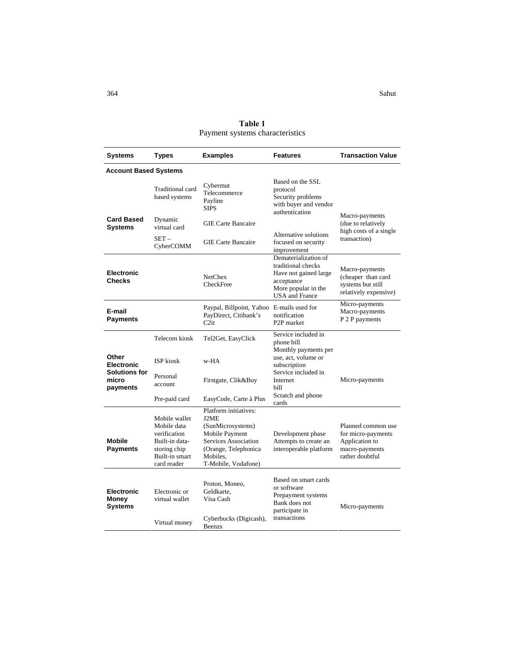364 Sahut

| <b>Systems</b>                               | Types                                                                                                                                                                                                                                                                      | <b>Examples</b>                                           | <b>Features</b>                                                                                                                   | <b>Transaction Value</b>                                                                        |  |  |
|----------------------------------------------|----------------------------------------------------------------------------------------------------------------------------------------------------------------------------------------------------------------------------------------------------------------------------|-----------------------------------------------------------|-----------------------------------------------------------------------------------------------------------------------------------|-------------------------------------------------------------------------------------------------|--|--|
| <b>Account Based Systems</b>                 |                                                                                                                                                                                                                                                                            |                                                           |                                                                                                                                   |                                                                                                 |  |  |
| Traditional card<br>based systems            |                                                                                                                                                                                                                                                                            | Cybermut<br>Telecommerce<br>Payline<br><b>SIPS</b>        | Based on the SSL<br>protocol<br>Security problems<br>with buyer and vendor<br>authentication                                      |                                                                                                 |  |  |
| <b>Card Based</b><br><b>Systems</b>          | Dynamic<br>virtual card                                                                                                                                                                                                                                                    | <b>GIE Carte Bancaire</b>                                 |                                                                                                                                   | Macro-payments<br>(due to relatively<br>high costs of a single<br>transaction)                  |  |  |
|                                              | SET –<br>CyberCOMM                                                                                                                                                                                                                                                         | <b>GIE Carte Bancaire</b>                                 | Alternative solutions<br>focused on security<br>improvement                                                                       |                                                                                                 |  |  |
| <b>Electronic</b><br><b>Checks</b>           | NetChex<br>CheckFree                                                                                                                                                                                                                                                       |                                                           | Dematerialization of<br>traditional checks<br>Have not gained large<br>acceptance<br>More popular in the<br><b>USA</b> and France | Macro-payments<br>(cheaper than card<br>systems but still<br>relatively expensive)              |  |  |
| E-mail<br><b>Payments</b>                    |                                                                                                                                                                                                                                                                            | Paypal, Billpoint, Yahoo<br>PayDirect, Citibank's<br>C2it | E-mails used for<br>notification<br>P <sub>2</sub> P market                                                                       | Micro-payments<br>Macro-payments<br>P 2 P payments                                              |  |  |
|                                              | Telecom kiosk                                                                                                                                                                                                                                                              | Tel2Get, EasyClick                                        | Service included in<br>phone bill                                                                                                 |                                                                                                 |  |  |
| Other<br>Electronic                          | <b>ISP</b> kiosk                                                                                                                                                                                                                                                           | w-HA                                                      | Monthly payments per<br>use, act, volume or<br>subscription                                                                       |                                                                                                 |  |  |
| <b>Solutions for</b><br>micro<br>payments    | Personal<br>account                                                                                                                                                                                                                                                        | Firstgate, Clik&Buy                                       | Service included in<br>Internet<br>bill                                                                                           | Micro-payments                                                                                  |  |  |
|                                              | Pre-paid card                                                                                                                                                                                                                                                              | EasyCode, Carte à Plus                                    | Scratch and phone<br>cards                                                                                                        |                                                                                                 |  |  |
| <b>Mobile</b><br><b>Payments</b>             | Platform initiatives:<br>J2ME<br>Mobile wallet<br>Mobile data<br>(SunMicrosystems)<br>Mobile Payment<br>verification<br>Built-in data-<br>Services Association<br>storing chip<br>(Orange, Telephonica<br>Built-in smart<br>Mobiles,<br>card reader<br>T-Mobile, Vodafone) |                                                           | Development phase<br>Attempts to create an<br>interoperable platform                                                              | Planned common use<br>for micro-payments<br>Application to<br>macro-payments<br>rather doubtful |  |  |
| <b>Electronic</b><br>Money<br><b>Systems</b> | Electronic or<br>virtual wallet                                                                                                                                                                                                                                            | Proton, Moneo,<br>Geldkarte,<br>Visa Cash                 | Based on smart cards<br>or software<br>Prepayment systems<br>Bank does not<br>participate in                                      | Micro-payments                                                                                  |  |  |
|                                              | Virtual money                                                                                                                                                                                                                                                              | Cyberbucks (Digicash),<br>Beenzs                          | transactions                                                                                                                      |                                                                                                 |  |  |

**Table 1**  Payment systems characteristics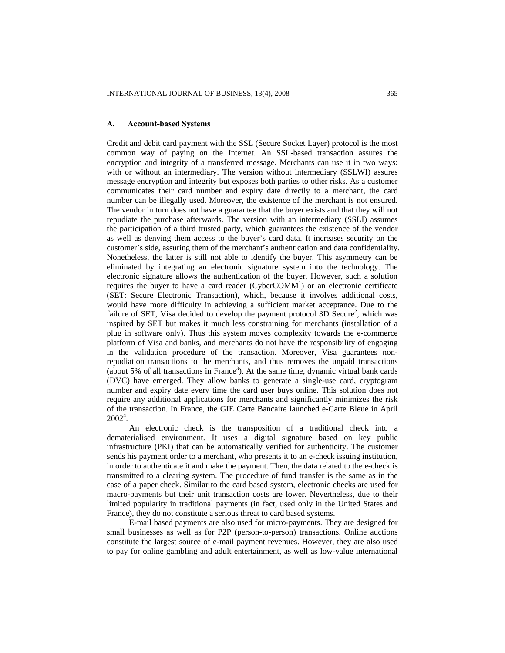#### **A. Account-based Systems**

Credit and debit card payment with the SSL (Secure Socket Layer) protocol is the most common way of paying on the Internet. An SSL-based transaction assures the encryption and integrity of a transferred message. Merchants can use it in two ways: with or without an intermediary. The version without intermediary (SSLWI) assures message encryption and integrity but exposes both parties to other risks. As a customer communicates their card number and expiry date directly to a merchant, the card number can be illegally used. Moreover, the existence of the merchant is not ensured. The vendor in turn does not have a guarantee that the buyer exists and that they will not repudiate the purchase afterwards. The version with an intermediary (SSLI) assumes the participation of a third trusted party, which guarantees the existence of the vendor as well as denying them access to the buyer's card data. It increases security on the customer's side, assuring them of the merchant's authentication and data confidentiality. Nonetheless, the latter is still not able to identify the buyer. This asymmetry can be eliminated by integrating an electronic signature system into the technology. The electronic signature allows the authentication of the buyer. However, such a solution requires the buyer to have a card reader (CyberCOMM<sup>1</sup>) or an electronic certificate (SET: Secure Electronic Transaction), which, because it involves additional costs, would have more difficulty in achieving a sufficient market acceptance. Due to the failure of SET, Visa decided to develop the payment protocol 3D Secure<sup>2</sup>, which was inspired by SET but makes it much less constraining for merchants (installation of a plug in software only). Thus this system moves complexity towards the e-commerce platform of Visa and banks, and merchants do not have the responsibility of engaging in the validation procedure of the transaction. Moreover, Visa guarantees nonrepudiation transactions to the merchants, and thus removes the unpaid transactions (about 5% of all transactions in France<sup>3</sup>). At the same time, dynamic virtual bank cards (DVC) have emerged. They allow banks to generate a single-use card, cryptogram number and expiry date every time the card user buys online. This solution does not require any additional applications for merchants and significantly minimizes the risk of the transaction. In France, the GIE Carte Bancaire launched e-Carte Bleue in April  $2002^4$ .

An electronic check is the transposition of a traditional check into a dematerialised environment. It uses a digital signature based on key public infrastructure (PKI) that can be automatically verified for authenticity. The customer sends his payment order to a merchant, who presents it to an e-check issuing institution, in order to authenticate it and make the payment. Then, the data related to the e-check is transmitted to a clearing system. The procedure of fund transfer is the same as in the case of a paper check. Similar to the card based system, electronic checks are used for macro-payments but their unit transaction costs are lower. Nevertheless, due to their limited popularity in traditional payments (in fact, used only in the United States and France), they do not constitute a serious threat to card based systems.

E-mail based payments are also used for micro-payments. They are designed for small businesses as well as for P2P (person-to-person) transactions. Online auctions constitute the largest source of e-mail payment revenues. However, they are also used to pay for online gambling and adult entertainment, as well as low-value international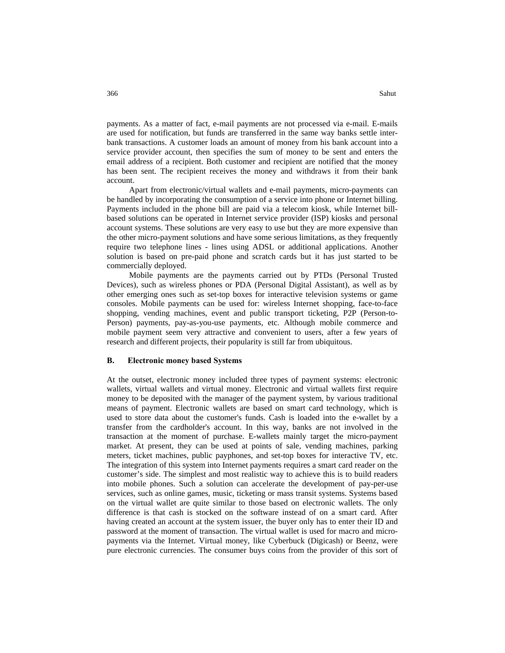payments. As a matter of fact, e-mail payments are not processed via e-mail. E-mails are used for notification, but funds are transferred in the same way banks settle interbank transactions. A customer loads an amount of money from his bank account into a service provider account, then specifies the sum of money to be sent and enters the email address of a recipient. Both customer and recipient are notified that the money has been sent. The recipient receives the money and withdraws it from their bank account.

Apart from electronic/virtual wallets and e-mail payments, micro-payments can be handled by incorporating the consumption of a service into phone or Internet billing. Payments included in the phone bill are paid via a telecom kiosk, while Internet billbased solutions can be operated in Internet service provider (ISP) kiosks and personal account systems. These solutions are very easy to use but they are more expensive than the other micro-payment solutions and have some serious limitations, as they frequently require two telephone lines - lines using ADSL or additional applications. Another solution is based on pre-paid phone and scratch cards but it has just started to be commercially deployed.

Mobile payments are the payments carried out by PTDs (Personal Trusted Devices), such as wireless phones or PDA (Personal Digital Assistant), as well as by other emerging ones such as set-top boxes for interactive television systems or game consoles. Mobile payments can be used for: wireless Internet shopping, face-to-face shopping, vending machines, event and public transport ticketing, P2P (Person-to-Person) payments, pay-as-you-use payments, etc. Although mobile commerce and mobile payment seem very attractive and convenient to users, after a few years of research and different projects, their popularity is still far from ubiquitous.

#### **B. Electronic money based Systems**

At the outset, electronic money included three types of payment systems: electronic wallets, virtual wallets and virtual money. Electronic and virtual wallets first require money to be deposited with the manager of the payment system, by various traditional means of payment. Electronic wallets are based on smart card technology, which is used to store data about the customer's funds. Cash is loaded into the e-wallet by a transfer from the cardholder's account. In this way, banks are not involved in the transaction at the moment of purchase. E-wallets mainly target the micro-payment market. At present, they can be used at points of sale, vending machines, parking meters, ticket machines, public payphones, and set-top boxes for interactive TV, etc. The integration of this system into Internet payments requires a smart card reader on the customer's side. The simplest and most realistic way to achieve this is to build readers into mobile phones. Such a solution can accelerate the development of pay-per-use services, such as online games, music, ticketing or mass transit systems. Systems based on the virtual wallet are quite similar to those based on electronic wallets. The only difference is that cash is stocked on the software instead of on a smart card. After having created an account at the system issuer, the buyer only has to enter their ID and password at the moment of transaction. The virtual wallet is used for macro and micropayments via the Internet. Virtual money, like Cyberbuck (Digicash) or Beenz, were pure electronic currencies. The consumer buys coins from the provider of this sort of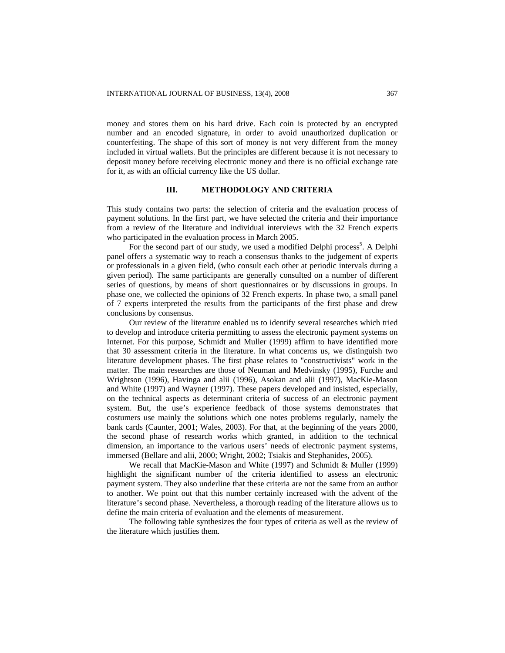money and stores them on his hard drive. Each coin is protected by an encrypted number and an encoded signature, in order to avoid unauthorized duplication or counterfeiting. The shape of this sort of money is not very different from the money included in virtual wallets. But the principles are different because it is not necessary to deposit money before receiving electronic money and there is no official exchange rate for it, as with an official currency like the US dollar.

## **III. METHODOLOGY AND CRITERIA**

This study contains two parts: the selection of criteria and the evaluation process of payment solutions. In the first part, we have selected the criteria and their importance from a review of the literature and individual interviews with the 32 French experts who participated in the evaluation process in March 2005.

For the second part of our study, we used a modified Delphi process<sup>5</sup>. A Delphi panel offers a systematic way to reach a consensus thanks to the judgement of experts or professionals in a given field, (who consult each other at periodic intervals during a given period). The same participants are generally consulted on a number of different series of questions, by means of short questionnaires or by discussions in groups. In phase one, we collected the opinions of 32 French experts. In phase two, a small panel of 7 experts interpreted the results from the participants of the first phase and drew conclusions by consensus.

Our review of the literature enabled us to identify several researches which tried to develop and introduce criteria permitting to assess the electronic payment systems on Internet. For this purpose, Schmidt and Muller (1999) affirm to have identified more that 30 assessment criteria in the literature. In what concerns us, we distinguish two literature development phases. The first phase relates to "constructivists" work in the matter. The main researches are those of Neuman and Medvinsky (1995), Furche and Wrightson (1996), Havinga and alii (1996), Asokan and alii (1997), MacKie-Mason and White (1997) and Wayner (1997). These papers developed and insisted, especially, on the technical aspects as determinant criteria of success of an electronic payment system. But, the use's experience feedback of those systems demonstrates that costumers use mainly the solutions which one notes problems regularly, namely the bank cards (Caunter, 2001; Wales, 2003). For that, at the beginning of the years 2000, the second phase of research works which granted, in addition to the technical dimension, an importance to the various users' needs of electronic payment systems, immersed (Bellare and alii, 2000; Wright, 2002; Tsiakis and Stephanides, 2005).

We recall that MacKie-Mason and White (1997) and Schmidt & Muller (1999) highlight the significant number of the criteria identified to assess an electronic payment system. They also underline that these criteria are not the same from an author to another. We point out that this number certainly increased with the advent of the literature's second phase. Nevertheless, a thorough reading of the literature allows us to define the main criteria of evaluation and the elements of measurement.

The following table synthesizes the four types of criteria as well as the review of the literature which justifies them.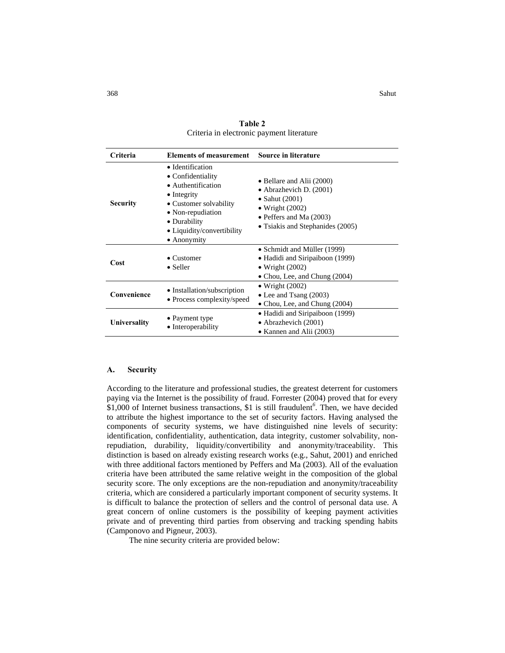368 Sahut

| <b>Criteria</b> | <b>Elements of measurement</b>                                                                                                                                                                         | <b>Source in literature</b>                                                                                                                                        |  |  |  |
|-----------------|--------------------------------------------------------------------------------------------------------------------------------------------------------------------------------------------------------|--------------------------------------------------------------------------------------------------------------------------------------------------------------------|--|--|--|
| <b>Security</b> | • Identification<br>• Confidentiality<br>• Authentification<br>$\bullet$ Integrity<br>• Customer solvability<br>· Non-repudiation<br>• Durability<br>• Liquidity/convertibility<br>$\bullet$ Anonymity | • Bellare and Alii (2000)<br>• Abrazhevich D. (2001)<br>• Sahut $(2001)$<br>$\bullet$ Wright (2002)<br>• Peffers and Ma (2003)<br>• Tsiakis and Stephanides (2005) |  |  |  |
| Cost            | $\bullet$ Customer<br>$\bullet$ Seller                                                                                                                                                                 | • Schmidt and Müller (1999)<br>• Hadidi and Siripaiboon (1999)<br>• Wright $(2002)$<br>• Chou, Lee, and Chung $(2004)$                                             |  |  |  |
| Convenience     | • Installation/subscription<br>• Process complexity/speed                                                                                                                                              | • Wright $(2002)$<br>• Lee and Tsang $(2003)$<br>• Chou, Lee, and Chung $(2004)$                                                                                   |  |  |  |
| Universality    | • Hadidi and Siripaiboon (1999)<br>• Payment type<br>• Abrazhevich (2001)<br>• Interoperability<br>• Kannen and Alii (2003)                                                                            |                                                                                                                                                                    |  |  |  |

**Table 2**  Criteria in electronic payment literature

#### **A. Security**

According to the literature and professional studies, the greatest deterrent for customers paying via the Internet is the possibility of fraud. Forrester (2004) proved that for every \$1,000 of Internet business transactions, \$1 is still fraudulent<sup>6</sup>. Then, we have decided to attribute the highest importance to the set of security factors. Having analysed the components of security systems, we have distinguished nine levels of security: identification, confidentiality, authentication, data integrity, customer solvability, nonrepudiation, durability, liquidity/convertibility and anonymity/traceability. This distinction is based on already existing research works (e.g., Sahut, 2001) and enriched with three additional factors mentioned by Peffers and Ma (2003). All of the evaluation criteria have been attributed the same relative weight in the composition of the global security score. The only exceptions are the non-repudiation and anonymity/traceability criteria, which are considered a particularly important component of security systems. It is difficult to balance the protection of sellers and the control of personal data use. A great concern of online customers is the possibility of keeping payment activities private and of preventing third parties from observing and tracking spending habits (Camponovo and Pigneur, 2003).

The nine security criteria are provided below: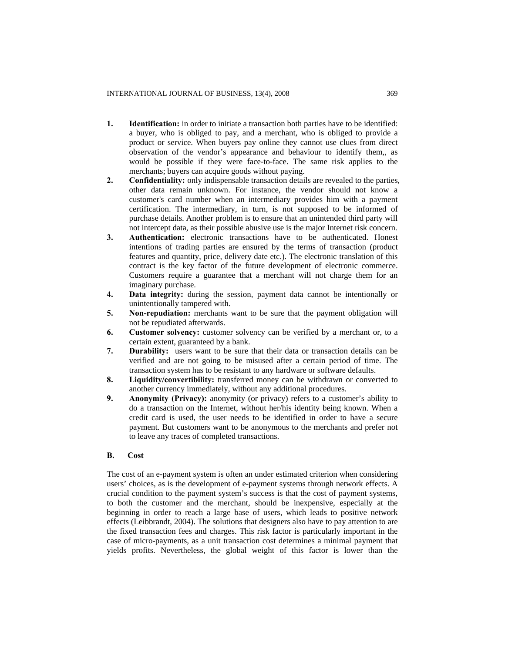- **1. Identification:** in order to initiate a transaction both parties have to be identified: a buyer, who is obliged to pay, and a merchant, who is obliged to provide a product or service. When buyers pay online they cannot use clues from direct observation of the vendor's appearance and behaviour to identify them,, as would be possible if they were face-to-face. The same risk applies to the merchants; buyers can acquire goods without paying.
- **2. Confidentiality:** only indispensable transaction details are revealed to the parties, other data remain unknown. For instance, the vendor should not know a customer's card number when an intermediary provides him with a payment certification. The intermediary, in turn, is not supposed to be informed of purchase details. Another problem is to ensure that an unintended third party will not intercept data, as their possible abusive use is the major Internet risk concern.
- **3. Authentication:** electronic transactions have to be authenticated. Honest intentions of trading parties are ensured by the terms of transaction (product features and quantity, price, delivery date etc.). The electronic translation of this contract is the key factor of the future development of electronic commerce. Customers require a guarantee that a merchant will not charge them for an imaginary purchase.
- **4. Data integrity:** during the session, payment data cannot be intentionally or unintentionally tampered with.
- **5. Non-repudiation:** merchants want to be sure that the payment obligation will not be repudiated afterwards.
- **6. Customer solvency:** customer solvency can be verified by a merchant or, to a certain extent, guaranteed by a bank.
- **7. Durability:** users want to be sure that their data or transaction details can be verified and are not going to be misused after a certain period of time. The transaction system has to be resistant to any hardware or software defaults.
- **8. Liquidity/convertibility:** transferred money can be withdrawn or converted to another currency immediately, without any additional procedures.
- **9. Anonymity (Privacy):** anonymity (or privacy) refers to a customer's ability to do a transaction on the Internet, without her/his identity being known. When a credit card is used, the user needs to be identified in order to have a secure payment. But customers want to be anonymous to the merchants and prefer not to leave any traces of completed transactions.

# **B. Cost**

The cost of an e-payment system is often an under estimated criterion when considering users' choices, as is the development of e-payment systems through network effects. A crucial condition to the payment system's success is that the cost of payment systems, to both the customer and the merchant, should be inexpensive, especially at the beginning in order to reach a large base of users, which leads to positive network effects (Leibbrandt, 2004). The solutions that designers also have to pay attention to are the fixed transaction fees and charges. This risk factor is particularly important in the case of micro-payments, as a unit transaction cost determines a minimal payment that yields profits. Nevertheless, the global weight of this factor is lower than the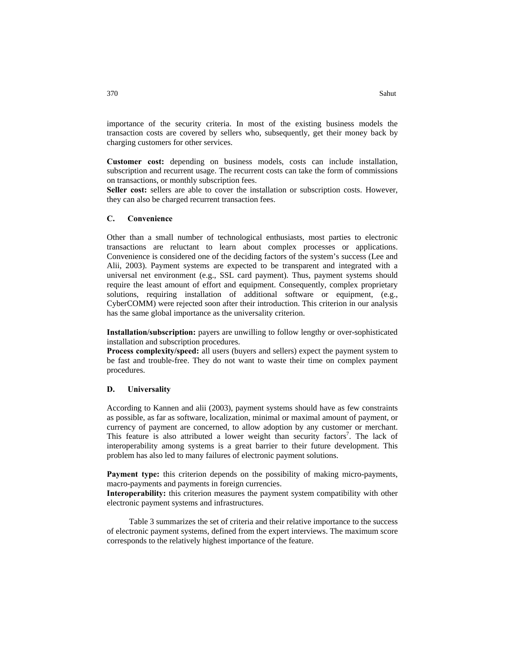importance of the security criteria. In most of the existing business models the transaction costs are covered by sellers who, subsequently, get their money back by charging customers for other services.

**Customer cost:** depending on business models, costs can include installation, subscription and recurrent usage. The recurrent costs can take the form of commissions on transactions, or monthly subscription fees.

Seller cost: sellers are able to cover the installation or subscription costs. However, they can also be charged recurrent transaction fees.

## **C. Convenience**

Other than a small number of technological enthusiasts, most parties to electronic transactions are reluctant to learn about complex processes or applications. Convenience is considered one of the deciding factors of the system's success (Lee and Alii, 2003). Payment systems are expected to be transparent and integrated with a universal net environment (e.g., SSL card payment). Thus, payment systems should require the least amount of effort and equipment. Consequently, complex proprietary solutions, requiring installation of additional software or equipment, (e.g., CyberCOMM) were rejected soon after their introduction. This criterion in our analysis has the same global importance as the universality criterion.

**Installation/subscription:** payers are unwilling to follow lengthy or over-sophisticated installation and subscription procedures.

**Process complexity/speed:** all users (buyers and sellers) expect the payment system to be fast and trouble-free. They do not want to waste their time on complex payment procedures.

### **D. Universality**

According to Kannen and alii (2003), payment systems should have as few constraints as possible, as far as software, localization, minimal or maximal amount of payment, or currency of payment are concerned, to allow adoption by any customer or merchant. This feature is also attributed a lower weight than security factors<sup>7</sup>. The lack of interoperability among systems is a great barrier to their future development. This problem has also led to many failures of electronic payment solutions.

**Payment type:** this criterion depends on the possibility of making micro-payments, macro-payments and payments in foreign currencies.

**Interoperability:** this criterion measures the payment system compatibility with other electronic payment systems and infrastructures.

Table 3 summarizes the set of criteria and their relative importance to the success of electronic payment systems, defined from the expert interviews. The maximum score corresponds to the relatively highest importance of the feature.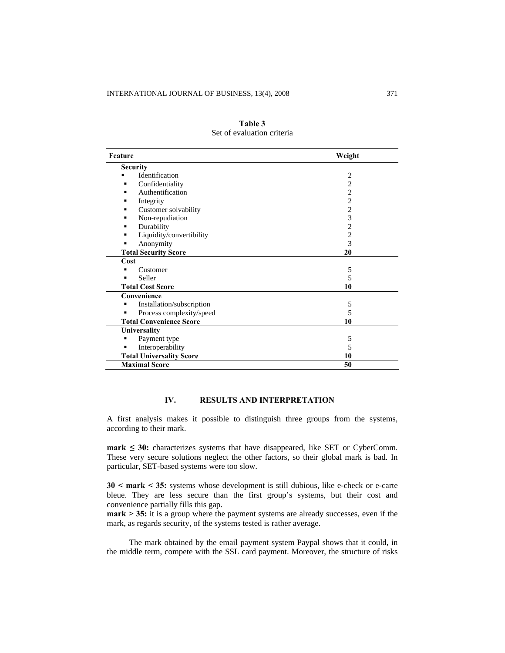| Feature                         | Weight         |  |  |  |
|---------------------------------|----------------|--|--|--|
| <b>Security</b>                 |                |  |  |  |
| Identification                  | $\overline{2}$ |  |  |  |
| Confidentiality<br>٠            | $\overline{2}$ |  |  |  |
| Authentification<br>٠           | $\overline{2}$ |  |  |  |
| Integrity<br>■                  | $\overline{2}$ |  |  |  |
| Customer solvability            | $\overline{c}$ |  |  |  |
| Non-repudiation<br>■            | 3              |  |  |  |
| Durability<br>■                 | $\overline{2}$ |  |  |  |
| Liquidity/convertibility        | $\overline{c}$ |  |  |  |
| Anonymity                       | 3              |  |  |  |
| <b>Total Security Score</b>     | 20             |  |  |  |
| Cost                            |                |  |  |  |
| Customer                        | 5              |  |  |  |
| Seller                          | 5              |  |  |  |
| <b>Total Cost Score</b>         | 10             |  |  |  |
| Convenience                     |                |  |  |  |
| Installation/subscription       | 5              |  |  |  |
| Process complexity/speed        | 5              |  |  |  |
| <b>Total Convenience Score</b>  | 10             |  |  |  |
| Universality                    |                |  |  |  |
| Payment type                    | 5              |  |  |  |
| Interoperability                | 5              |  |  |  |
| <b>Total Universality Score</b> | 10             |  |  |  |
| <b>Maximal Score</b>            | 50             |  |  |  |

## **Table 3**  Set of evaluation criteria

## **IV. RESULTS AND INTERPRETATION**

A first analysis makes it possible to distinguish three groups from the systems, according to their mark.

**mark ≤ 30:** characterizes systems that have disappeared, like SET or CyberComm. These very secure solutions neglect the other factors, so their global mark is bad. In particular, SET-based systems were too slow.

**30 < mark < 35:** systems whose development is still dubious, like e-check or e-carte bleue. They are less secure than the first group's systems, but their cost and convenience partially fills this gap.

**mark > 35:** it is a group where the payment systems are already successes, even if the mark, as regards security, of the systems tested is rather average.

The mark obtained by the email payment system Paypal shows that it could, in the middle term, compete with the SSL card payment. Moreover, the structure of risks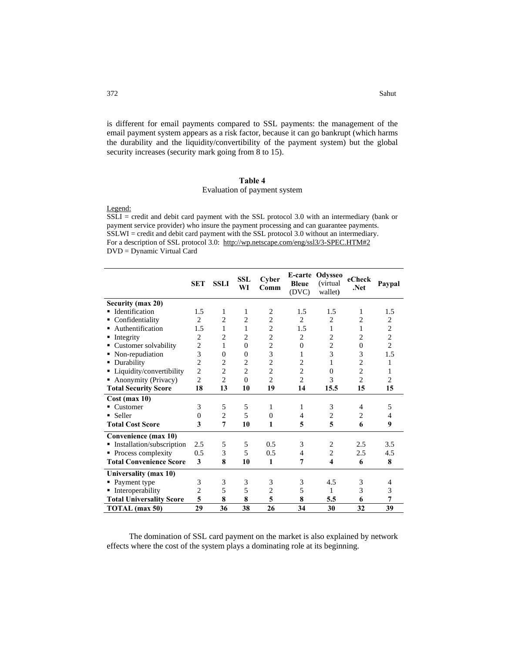is different for email payments compared to SSL payments: the management of the email payment system appears as a risk factor, because it can go bankrupt (which harms the durability and the liquidity/convertibility of the payment system) but the global security increases (security mark going from 8 to 15).

#### **Table 4**

# Evaluation of payment system

Legend:

SSLI = credit and debit card payment with the SSL protocol 3.0 with an intermediary (bank or payment service provider) who insure the payment processing and can guarantee payments. SSLWI = credit and debit card payment with the SSL protocol 3.0 without an intermediary. For a description of SSL protocol 3.0: <http://wp.netscape.com/eng/ssl3/3-SPEC.HTM#2> DVD = Dynamic Virtual Card

|                                 | <b>SET</b>     | <b>SSLI</b>    | <b>SSL</b><br>WI | Cyber<br>Comm  | E-carte<br><b>Bleue</b><br>(DVC) | Odysseo<br>(virtual)<br>wallet) | eCheck<br>.Net | Paypal         |
|---------------------------------|----------------|----------------|------------------|----------------|----------------------------------|---------------------------------|----------------|----------------|
| <b>Security (max 20)</b>        |                |                |                  |                |                                  |                                 |                |                |
| • Identification                | 1.5            | 1              | 1                | $\overline{2}$ | 1.5                              | 1.5                             | 1              | 1.5            |
| Confidentiality                 | $\overline{2}$ | $\overline{2}$ | $\overline{c}$   | $\overline{c}$ | 2                                | $\overline{c}$                  | $\overline{c}$ | 2              |
| Authentification                | 1.5            | 1              | 1                | $\overline{c}$ | 1.5                              | 1                               | 1              | $\overline{c}$ |
| Integrity                       | $\overline{2}$ | $\overline{2}$ | $\overline{c}$   | $\overline{2}$ | 2                                | 2                               | 2              | $\overline{c}$ |
| Customer solvability            | $\overline{c}$ | 1              | $\overline{0}$   | $\overline{c}$ | $\mathbf{0}$                     | $\overline{2}$                  | $\mathbf{0}$   | $\overline{2}$ |
| Non-repudiation                 | 3              | $\mathbf{0}$   | $\Omega$         | 3              | 1                                | 3                               | 3              | 1.5            |
| • Durability                    | $\overline{2}$ | $\overline{2}$ | $\overline{c}$   | $\overline{c}$ | $\overline{c}$                   | 1                               | $\overline{c}$ | 1              |
| • Liquidity/convertibility      | $\overline{c}$ | $\overline{c}$ | $\overline{c}$   | $\overline{c}$ | $\overline{c}$                   | $\theta$                        | $\overline{c}$ | 1              |
| • Anonymity (Privacy)           | $\overline{2}$ | $\overline{2}$ | $\theta$         | $\overline{c}$ | $\overline{2}$                   | 3                               | $\overline{c}$ | $\overline{c}$ |
| <b>Total Security Score</b>     | 18             | 13             | 10               | 19             | 14                               | 15.5                            | 15             | 15             |
| $Cost$ (max 10)                 |                |                |                  |                |                                  |                                 |                |                |
| Customer                        | 3              | 5              | 5                | 1              | 1                                | 3                               | 4              | 5              |
| $\blacksquare$ Seller           | $\Omega$       | $\overline{2}$ | 5                | $\Omega$       | $\overline{4}$                   | $\overline{2}$                  | 2              | 4              |
| <b>Total Cost Score</b>         | 3              | 7              | 10               | 1              | 5                                | 5                               | 6              | 9              |
| Convenience (max 10)            |                |                |                  |                |                                  |                                 |                |                |
| • Installation/subscription     | 2.5            | 5              | 5                | 0.5            | 3                                | 2                               | 2.5            | 3.5            |
| • Process complexity            | 0.5            | 3              | 5                | 0.5            | 4                                | $\overline{c}$                  | 2.5            | 4.5            |
| <b>Total Convenience Score</b>  | 3              | 8              | 10               | 1              | 7                                | $\overline{\mathbf{4}}$         | 6              | 8              |
| Universality (max 10)           |                |                |                  |                |                                  |                                 |                |                |
| • Payment type                  | 3              | 3              | 3                | 3              | 3                                | 4.5                             | 3              | $\overline{4}$ |
| Interoperability                | $\overline{2}$ | 5              | 5                | $\overline{c}$ | 5                                | 1                               | 3              | 3              |
| <b>Total Universality Score</b> | 5              | 8              | 8                | 5              | 8                                | 5.5                             | 6              | 7              |
| TOTAL (max 50)                  | 29             | 36             | 38               | 26             | 34                               | 30                              | 32             | 39             |

The domination of SSL card payment on the market is also explained by network effects where the cost of the system plays a dominating role at its beginning.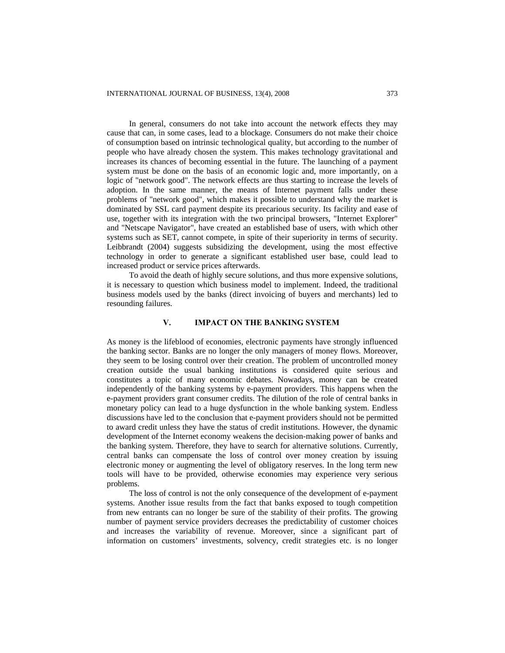In general, consumers do not take into account the network effects they may cause that can, in some cases, lead to a blockage. Consumers do not make their choice of consumption based on intrinsic technological quality, but according to the number of people who have already chosen the system. This makes technology gravitational and increases its chances of becoming essential in the future. The launching of a payment system must be done on the basis of an economic logic and, more importantly, on a logic of "network good". The network effects are thus starting to increase the levels of adoption. In the same manner, the means of Internet payment falls under these problems of "network good", which makes it possible to understand why the market is dominated by SSL card payment despite its precarious security. Its facility and ease of use, together with its integration with the two principal browsers, "Internet Explorer" and "Netscape Navigator", have created an established base of users, with which other systems such as SET, cannot compete, in spite of their superiority in terms of security. Leibbrandt (2004) suggests subsidizing the development, using the most effective technology in order to generate a significant established user base, could lead to increased product or service prices afterwards.

To avoid the death of highly secure solutions, and thus more expensive solutions, it is necessary to question which business model to implement. Indeed, the traditional business models used by the banks (direct invoicing of buyers and merchants) led to resounding failures.

## **V. IMPACT ON THE BANKING SYSTEM**

As money is the lifeblood of economies, electronic payments have strongly influenced the banking sector. Banks are no longer the only managers of money flows. Moreover, they seem to be losing control over their creation. The problem of uncontrolled money creation outside the usual banking institutions is considered quite serious and constitutes a topic of many economic debates. Nowadays, money can be created independently of the banking systems by e-payment providers. This happens when the e-payment providers grant consumer credits. The dilution of the role of central banks in monetary policy can lead to a huge dysfunction in the whole banking system. Endless discussions have led to the conclusion that e-payment providers should not be permitted to award credit unless they have the status of credit institutions. However, the dynamic development of the Internet economy weakens the decision-making power of banks and the banking system. Therefore, they have to search for alternative solutions. Currently, central banks can compensate the loss of control over money creation by issuing electronic money or augmenting the level of obligatory reserves. In the long term new tools will have to be provided, otherwise economies may experience very serious problems.

The loss of control is not the only consequence of the development of e-payment systems. Another issue results from the fact that banks exposed to tough competition from new entrants can no longer be sure of the stability of their profits. The growing number of payment service providers decreases the predictability of customer choices and increases the variability of revenue. Moreover, since a significant part of information on customers' investments, solvency, credit strategies etc. is no longer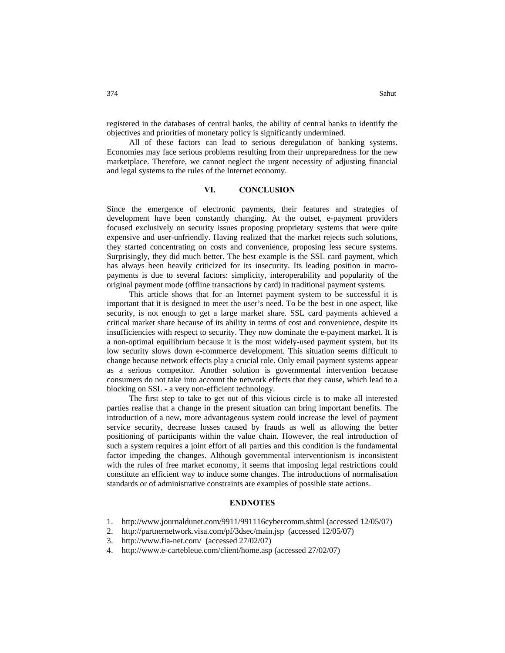registered in the databases of central banks, the ability of central banks to identify the objectives and priorities of monetary policy is significantly undermined.

All of these factors can lead to serious deregulation of banking systems. Economies may face serious problems resulting from their unpreparedness for the new marketplace. Therefore, we cannot neglect the urgent necessity of adjusting financial and legal systems to the rules of the Internet economy.

## **VI. CONCLUSION**

Since the emergence of electronic payments, their features and strategies of development have been constantly changing. At the outset, e-payment providers focused exclusively on security issues proposing proprietary systems that were quite expensive and user-unfriendly. Having realized that the market rejects such solutions, they started concentrating on costs and convenience, proposing less secure systems. Surprisingly, they did much better. The best example is the SSL card payment, which has always been heavily criticized for its insecurity. Its leading position in macropayments is due to several factors: simplicity, interoperability and popularity of the original payment mode (offline transactions by card) in traditional payment systems.

This article shows that for an Internet payment system to be successful it is important that it is designed to meet the user's need. To be the best in one aspect, like security, is not enough to get a large market share. SSL card payments achieved a critical market share because of its ability in terms of cost and convenience, despite its insufficiencies with respect to security. They now dominate the e-payment market. It is a non-optimal equilibrium because it is the most widely-used payment system, but its low security slows down e-commerce development. This situation seems difficult to change because network effects play a crucial role. Only email payment systems appear as a serious competitor. Another solution is governmental intervention because consumers do not take into account the network effects that they cause, which lead to a blocking on SSL - a very non-efficient technology.

The first step to take to get out of this vicious circle is to make all interested parties realise that a change in the present situation can bring important benefits. The introduction of a new, more advantageous system could increase the level of payment service security, decrease losses caused by frauds as well as allowing the better positioning of participants within the value chain. However, the real introduction of such a system requires a joint effort of all parties and this condition is the fundamental factor impeding the changes. Although governmental interventionism is inconsistent with the rules of free market economy, it seems that imposing legal restrictions could constitute an efficient way to induce some changes. The introductions of normalisation standards or of administrative constraints are examples of possible state actions.

# **ENDNOTES**

- 1. http://www.journaldunet.com/9911/991116cybercomm.shtml (accessed 12/05/07)
- 2. http://partnernetwork.visa.com/pf/3dsec/main.jsp (accessed 12/05/07)
- 3. http://www.fia-net.com/ (accessed 27/02/07)
- 4. http://www.e-cartebleue.com/client/home.asp (accessed 27/02/07)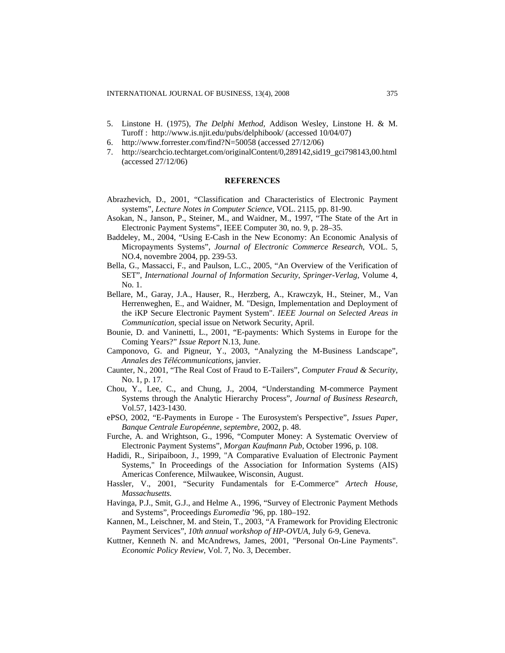- 5. Linstone H. (1975)*, The Delphi Method,* Addison Wesley, Linstone H. & M. Turoff : http://www.is.njit.edu/pubs/delphibook/ (accessed 10/04/07)
- 6. http://www.forrester.com/find?N=50058 (accessed 27/12/06)
- 7. http://searchcio.techtarget.com/originalContent/0,289142,sid19\_gci798143,00.html (accessed 27/12/06)

## **REFERENCES**

- Abrazhevich, D., 2001, "Classification and Characteristics of Electronic Payment systems"*, Lecture Notes in Computer Science,* VOL. 2115, pp. 81-90.
- Asokan, N., Janson, P., Steiner, M., and Waidner, M., 1997, "The State of the Art in Electronic Payment Systems", IEEE Computer 30, no. 9, p. 28–35.
- Baddeley, M., 2004, "Using E-Cash in the New Economy: An Economic Analysis of Micropayments Systems", *Journal of Electronic Commerce Research*, VOL. 5, NO.4, novembre 2004, pp. 239-53.
- Bella, G., Massacci, F., and Paulson, L.C., 2005, "An Overview of the Verification of SET", *International Journal of Information Security*, *Springer-Verlag,* Volume 4, No. 1.
- Bellare, M., Garay, J.A., Hauser, R., Herzberg, A., Krawczyk, H., Steiner, M., Van Herrenweghen, E., and Waidner, M. "Design, Implementation and Deployment of the iKP Secure Electronic Payment System". *IEEE Journal on Selected Areas in Communication*, special issue on Network Security, April.
- Bounie, D. and Vaninetti, L., 2001, "E-payments: Which Systems in Europe for the Coming Years?" *Issue Report* N.13, June.
- Camponovo, G. and Pigneur, Y., 2003, "Analyzing the M-Business Landscape"*, Annales des Télécommunications*, janvier.
- Caunter, N., 2001, "The Real Cost of Fraud to E-Tailers", *Computer Fraud & Security*, No. 1, p. 17.
- Chou, Y., Lee, C., and Chung, J., 2004, "Understanding M-commerce Payment Systems through the Analytic Hierarchy Process", *Journal of Business Research*, Vol.57, 1423-1430.
- ePSO, 2002, "E-Payments in Europe The Eurosystem's Perspective", *Issues Paper, Banque Centrale Européenne, septembre*, 2002, p. 48.
- Furche, A. and Wrightson, G., 1996, "Computer Money: A Systematic Overview of Electronic Payment Systems", *Morgan Kaufmann Pub,* October 1996, p. 108.
- Hadidi, R., Siripaiboon, J., 1999, "A Comparative Evaluation of Electronic Payment Systems," In Proceedings of the Association for Information Systems (AIS) Americas Conference, Milwaukee, Wisconsin, August.
- Hassler, V., 2001, "Security Fundamentals for E-Commerce" *Artech House, Massachusetts.*
- Havinga, P.J., Smit, G.J., and Helme A., 1996, "Survey of Electronic Payment Methods and Systems", Proceedings *Euromedia* '96, pp. 180–192.
- Kannen, M., Leischner, M. and Stein, T., 2003, "A Framework for Providing Electronic Payment Services", *10th annual workshop of HP-OVUA*, July 6-9, Geneva.
- Kuttner, Kenneth N. and McAndrews, James, 2001, "Personal On-Line Payments". *Economic Policy Review*, Vol. 7, No. 3, December.